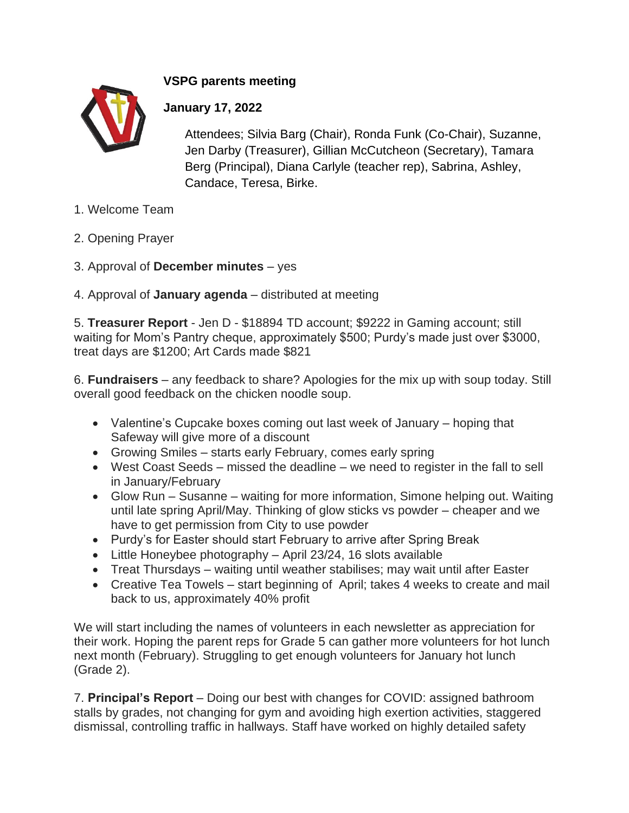## **VSPG parents meeting**



## **January 17, 2022**

Attendees; Silvia Barg (Chair), Ronda Funk (Co-Chair), Suzanne, Jen Darby (Treasurer), Gillian McCutcheon (Secretary), Tamara Berg (Principal), Diana Carlyle (teacher rep), Sabrina, Ashley, Candace, Teresa, Birke.

- 1. Welcome Team
- 2. Opening Prayer
- 3. Approval of **December minutes** yes
- 4. Approval of **January agenda** distributed at meeting

5. **Treasurer Report** - Jen D - \$18894 TD account; \$9222 in Gaming account; still waiting for Mom's Pantry cheque, approximately \$500; Purdy's made just over \$3000, treat days are \$1200; Art Cards made \$821

6. **Fundraisers** – any feedback to share? Apologies for the mix up with soup today. Still overall good feedback on the chicken noodle soup.

- Valentine's Cupcake boxes coming out last week of January hoping that Safeway will give more of a discount
- Growing Smiles starts early February, comes early spring
- West Coast Seeds missed the deadline we need to register in the fall to sell in January/February
- Glow Run Susanne waiting for more information, Simone helping out. Waiting until late spring April/May. Thinking of glow sticks vs powder – cheaper and we have to get permission from City to use powder
- Purdy's for Easter should start February to arrive after Spring Break
- Little Honeybee photography April 23/24, 16 slots available
- Treat Thursdays waiting until weather stabilises; may wait until after Easter
- Creative Tea Towels start beginning of April; takes 4 weeks to create and mail back to us, approximately 40% profit

We will start including the names of volunteers in each newsletter as appreciation for their work. Hoping the parent reps for Grade 5 can gather more volunteers for hot lunch next month (February). Struggling to get enough volunteers for January hot lunch (Grade 2).

7. **Principal's Report** – Doing our best with changes for COVID: assigned bathroom stalls by grades, not changing for gym and avoiding high exertion activities, staggered dismissal, controlling traffic in hallways. Staff have worked on highly detailed safety